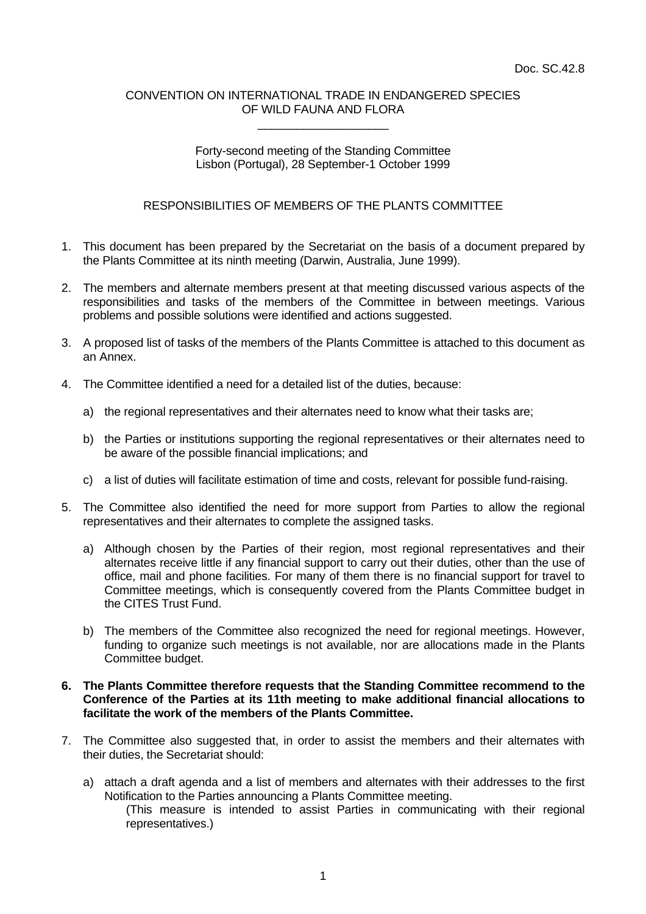#### CONVENTION ON INTERNATIONAL TRADE IN ENDANGERED SPECIES OF WILD FAUNA AND FLORA \_\_\_\_\_\_\_\_\_\_\_\_\_\_\_\_\_\_\_\_

# Forty-second meeting of the Standing Committee Lisbon (Portugal), 28 September-1 October 1999

# RESPONSIBILITIES OF MEMBERS OF THE PLANTS COMMITTEE

- 1. This document has been prepared by the Secretariat on the basis of a document prepared by the Plants Committee at its ninth meeting (Darwin, Australia, June 1999).
- 2. The members and alternate members present at that meeting discussed various aspects of the responsibilities and tasks of the members of the Committee in between meetings. Various problems and possible solutions were identified and actions suggested.
- 3. A proposed list of tasks of the members of the Plants Committee is attached to this document as an Annex.
- 4. The Committee identified a need for a detailed list of the duties, because:
	- a) the regional representatives and their alternates need to know what their tasks are;
	- b) the Parties or institutions supporting the regional representatives or their alternates need to be aware of the possible financial implications; and
	- c) a list of duties will facilitate estimation of time and costs, relevant for possible fund-raising.
- 5. The Committee also identified the need for more support from Parties to allow the regional representatives and their alternates to complete the assigned tasks.
	- a) Although chosen by the Parties of their region, most regional representatives and their alternates receive little if any financial support to carry out their duties, other than the use of office, mail and phone facilities. For many of them there is no financial support for travel to Committee meetings, which is consequently covered from the Plants Committee budget in the CITES Trust Fund.
	- b) The members of the Committee also recognized the need for regional meetings. However, funding to organize such meetings is not available, nor are allocations made in the Plants Committee budget.

## **6. The Plants Committee therefore requests that the Standing Committee recommend to the Conference of the Parties at its 11th meeting to make additional financial allocations to facilitate the work of the members of the Plants Committee.**

- 7. The Committee also suggested that, in order to assist the members and their alternates with their duties, the Secretariat should:
	- a) attach a draft agenda and a list of members and alternates with their addresses to the first Notification to the Parties announcing a Plants Committee meeting.
		- (This measure is intended to assist Parties in communicating with their regional representatives.)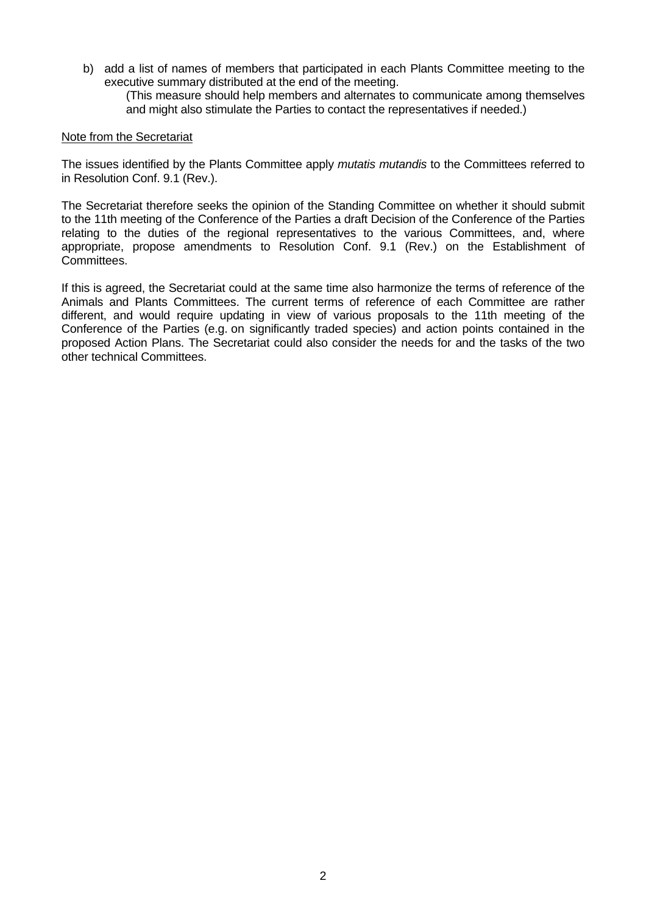b) add a list of names of members that participated in each Plants Committee meeting to the executive summary distributed at the end of the meeting.

(This measure should help members and alternates to communicate among themselves and might also stimulate the Parties to contact the representatives if needed.)

## Note from the Secretariat

The issues identified by the Plants Committee apply *mutatis mutandis* to the Committees referred to in Resolution Conf. 9.1 (Rev.).

The Secretariat therefore seeks the opinion of the Standing Committee on whether it should submit to the 11th meeting of the Conference of the Parties a draft Decision of the Conference of the Parties relating to the duties of the regional representatives to the various Committees, and, where appropriate, propose amendments to Resolution Conf. 9.1 (Rev.) on the Establishment of Committees.

If this is agreed, the Secretariat could at the same time also harmonize the terms of reference of the Animals and Plants Committees. The current terms of reference of each Committee are rather different, and would require updating in view of various proposals to the 11th meeting of the Conference of the Parties (e.g. on significantly traded species) and action points contained in the proposed Action Plans. The Secretariat could also consider the needs for and the tasks of the two other technical Committees.